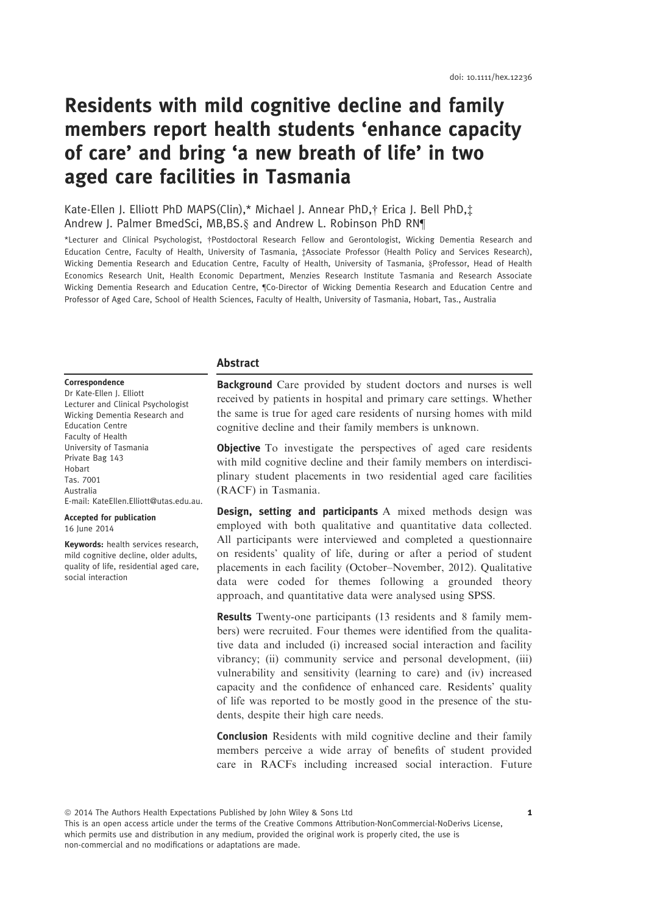# Residents with mild cognitive decline and family members report health students 'enhance capacity of care' and bring 'a new breath of life' in two aged care facilities in Tasmania

# Kate-Ellen J. Elliott PhD MAPS(Clin),\* Michael J. Annear PhD,† Erica J. Bell PhD,‡ Andrew J. Palmer BmedSci, MB,BS.§ and Andrew L. Robinson PhD RN¶

\*Lecturer and Clinical Psychologist, †Postdoctoral Research Fellow and Gerontologist, Wicking Dementia Research and Education Centre, Faculty of Health, University of Tasmania, ‡Associate Professor (Health Policy and Services Research), Wicking Dementia Research and Education Centre, Faculty of Health, University of Tasmania, §Professor, Head of Health Economics Research Unit, Health Economic Department, Menzies Research Institute Tasmania and Research Associate Wicking Dementia Research and Education Centre, ¶Co-Director of Wicking Dementia Research and Education Centre and Professor of Aged Care, School of Health Sciences, Faculty of Health, University of Tasmania, Hobart, Tas., Australia

## Abstract

Correspondence Dr Kate-Ellen J. Elliott Lecturer and Clinical Psychologist Wicking Dementia Research and Education Centre Faculty of Health University of Tasmania Private Bag 143 Hobart Tas. 7001 Australia E-mail: KateEllen.Elliott@utas.edu.au.

Accepted for publication 16 June 2014

Keywords: health services research, mild cognitive decline, older adults, quality of life, residential aged care, social interaction

Background Care provided by student doctors and nurses is well received by patients in hospital and primary care settings. Whether the same is true for aged care residents of nursing homes with mild cognitive decline and their family members is unknown.

**Objective** To investigate the perspectives of aged care residents with mild cognitive decline and their family members on interdisciplinary student placements in two residential aged care facilities (RACF) in Tasmania.

**Design, setting and participants** A mixed methods design was employed with both qualitative and quantitative data collected. All participants were interviewed and completed a questionnaire on residents' quality of life, during or after a period of student placements in each facility (October–November, 2012). Qualitative data were coded for themes following a grounded theory approach, and quantitative data were analysed using SPSS.

Results Twenty-one participants (13 residents and 8 family members) were recruited. Four themes were identified from the qualitative data and included (i) increased social interaction and facility vibrancy; (ii) community service and personal development, (iii) vulnerability and sensitivity (learning to care) and (iv) increased capacity and the confidence of enhanced care. Residents' quality of life was reported to be mostly good in the presence of the students, despite their high care needs.

Conclusion Residents with mild cognitive decline and their family members perceive a wide array of benefits of student provided care in RACFs including increased social interaction. Future

ª 2014 The Authors Health Expectations Published by John Wiley & Sons Ltd 1

This is an open access article under the terms of the Creative Commons Attribution-NonCommercial-NoDerivs License, which permits use and distribution in any medium, provided the original work is properly cited, the use is non-commercial and no modifications or adaptations are made.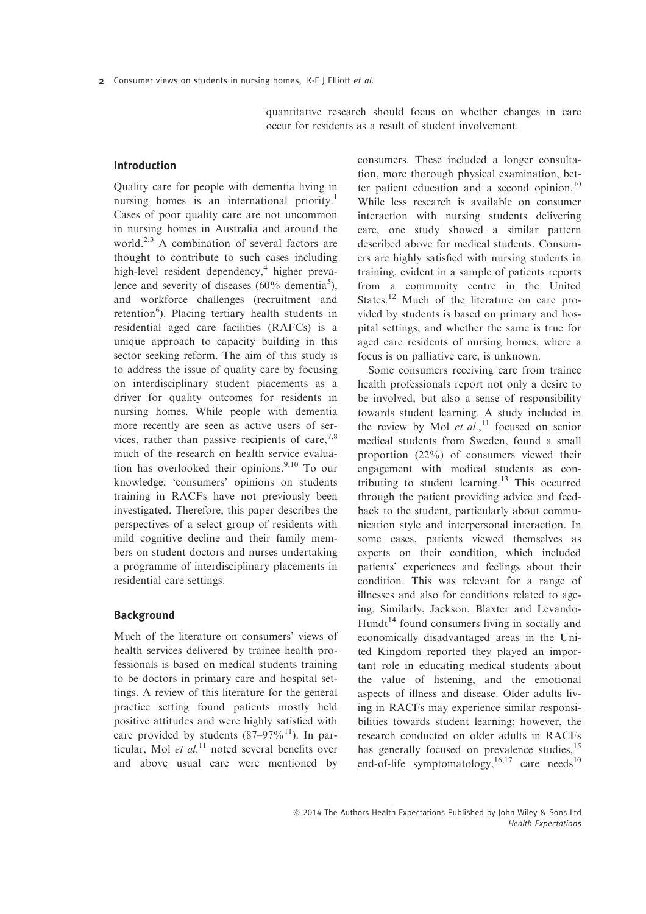quantitative research should focus on whether changes in care occur for residents as a result of student involvement.

# Introduction

Quality care for people with dementia living in nursing homes is an international priority.<sup>1</sup> Cases of poor quality care are not uncommon in nursing homes in Australia and around the world.<sup>2,3</sup> A combination of several factors are thought to contribute to such cases including high-level resident dependency,<sup>4</sup> higher prevalence and severity of diseases  $(60\% \text{ dementia}^5),$ and workforce challenges (recruitment and retention<sup>6</sup>). Placing tertiary health students in residential aged care facilities (RAFCs) is a unique approach to capacity building in this sector seeking reform. The aim of this study is to address the issue of quality care by focusing on interdisciplinary student placements as a driver for quality outcomes for residents in nursing homes. While people with dementia more recently are seen as active users of services, rather than passive recipients of care,  $7.8$ much of the research on health service evaluation has overlooked their opinions. $9,10$  To our knowledge, 'consumers' opinions on students training in RACFs have not previously been investigated. Therefore, this paper describes the perspectives of a select group of residents with mild cognitive decline and their family members on student doctors and nurses undertaking a programme of interdisciplinary placements in residential care settings.

# Background

Much of the literature on consumers' views of health services delivered by trainee health professionals is based on medical students training to be doctors in primary care and hospital settings. A review of this literature for the general practice setting found patients mostly held positive attitudes and were highly satisfied with care provided by students  $(87-97\%/11)$ . In particular, Mol et  $al$ .<sup>11</sup> noted several benefits over and above usual care were mentioned by consumers. These included a longer consultation, more thorough physical examination, better patient education and a second opinion.<sup>10</sup> While less research is available on consumer interaction with nursing students delivering care, one study showed a similar pattern described above for medical students. Consumers are highly satisfied with nursing students in training, evident in a sample of patients reports from a community centre in the United States.<sup>12</sup> Much of the literature on care provided by students is based on primary and hospital settings, and whether the same is true for aged care residents of nursing homes, where a focus is on palliative care, is unknown.

Some consumers receiving care from trainee health professionals report not only a desire to be involved, but also a sense of responsibility towards student learning. A study included in the review by Mol et  $al$ , <sup>11</sup> focused on senior medical students from Sweden, found a small proportion (22%) of consumers viewed their engagement with medical students as contributing to student learning.<sup>13</sup> This occurred through the patient providing advice and feedback to the student, particularly about communication style and interpersonal interaction. In some cases, patients viewed themselves as experts on their condition, which included patients' experiences and feelings about their condition. This was relevant for a range of illnesses and also for conditions related to ageing. Similarly, Jackson, Blaxter and Levando-Hundt<sup>14</sup> found consumers living in socially and economically disadvantaged areas in the United Kingdom reported they played an important role in educating medical students about the value of listening, and the emotional aspects of illness and disease. Older adults living in RACFs may experience similar responsibilities towards student learning; however, the research conducted on older adults in RACFs has generally focused on prevalence studies,<sup>15</sup> end-of-life symptomatology,  $16,17$  care needs  $10$ 

ª 2014 The Authors Health Expectations Published by John Wiley & Sons Ltd Health Expectations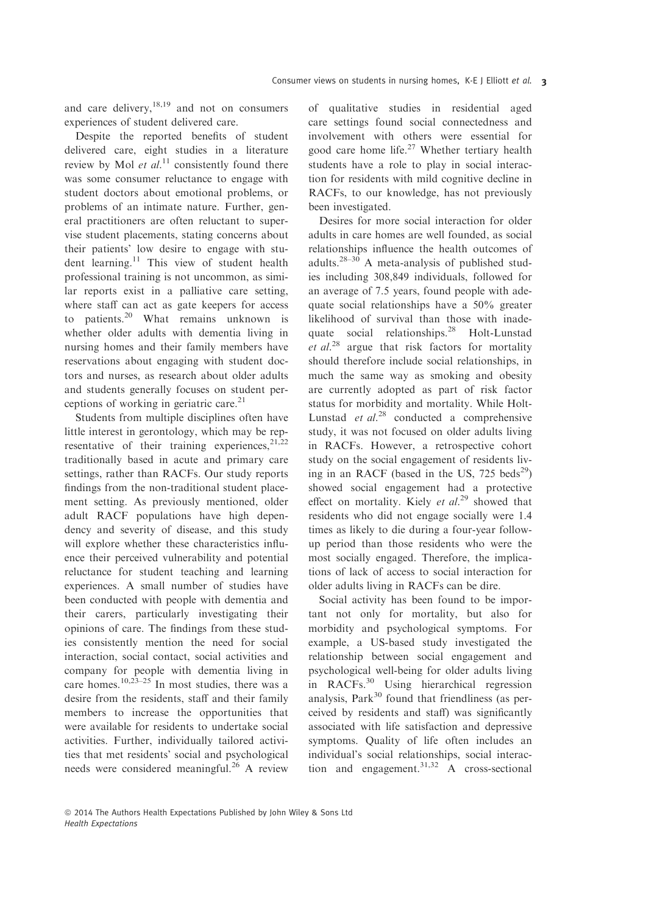and care delivery,  $18,19$  and not on consumers experiences of student delivered care.

Despite the reported benefits of student delivered care, eight studies in a literature review by Mol et  $al$ <sup>11</sup> consistently found there was some consumer reluctance to engage with student doctors about emotional problems, or problems of an intimate nature. Further, general practitioners are often reluctant to supervise student placements, stating concerns about their patients' low desire to engage with student learning.<sup>11</sup> This view of student health professional training is not uncommon, as similar reports exist in a palliative care setting, where staff can act as gate keepers for access to patients.<sup>20</sup> What remains unknown is whether older adults with dementia living in nursing homes and their family members have reservations about engaging with student doctors and nurses, as research about older adults and students generally focuses on student perceptions of working in geriatric care.<sup>21</sup>

Students from multiple disciplines often have little interest in gerontology, which may be representative of their training experiences,  $2^{1,22}$ traditionally based in acute and primary care settings, rather than RACFs. Our study reports findings from the non-traditional student placement setting. As previously mentioned, older adult RACF populations have high dependency and severity of disease, and this study will explore whether these characteristics influence their perceived vulnerability and potential reluctance for student teaching and learning experiences. A small number of studies have been conducted with people with dementia and their carers, particularly investigating their opinions of care. The findings from these studies consistently mention the need for social interaction, social contact, social activities and company for people with dementia living in care homes.<sup>10,23–25</sup> In most studies, there was a desire from the residents, staff and their family members to increase the opportunities that were available for residents to undertake social activities. Further, individually tailored activities that met residents' social and psychological needs were considered meaningful.<sup>26</sup> A review of qualitative studies in residential aged care settings found social connectedness and involvement with others were essential for good care home life.<sup>27</sup> Whether tertiary health students have a role to play in social interaction for residents with mild cognitive decline in RACFs, to our knowledge, has not previously been investigated.

Desires for more social interaction for older adults in care homes are well founded, as social relationships influence the health outcomes of adults. $28-30$  A meta-analysis of published studies including 308,849 individuals, followed for an average of 7.5 years, found people with adequate social relationships have a 50% greater likelihood of survival than those with inadequate social relationships.<sup>28</sup> Holt-Lunstad *et al.*<sup>28</sup> argue that risk factors for mortality should therefore include social relationships, in much the same way as smoking and obesity are currently adopted as part of risk factor status for morbidity and mortality. While Holt-Lunstad et  $al.^{28}$  conducted a comprehensive study, it was not focused on older adults living in RACFs. However, a retrospective cohort study on the social engagement of residents living in an RACF (based in the US,  $725 \text{ beds}^{29}$ ) showed social engagement had a protective effect on mortality. Kiely et  $al.^{29}$  showed that residents who did not engage socially were 1.4 times as likely to die during a four-year followup period than those residents who were the most socially engaged. Therefore, the implications of lack of access to social interaction for older adults living in RACFs can be dire.

Social activity has been found to be important not only for mortality, but also for morbidity and psychological symptoms. For example, a US-based study investigated the relationship between social engagement and psychological well-being for older adults living in RACFs.<sup>30</sup> Using hierarchical regression analysis,  $Park<sup>30</sup>$  found that friendliness (as perceived by residents and staff) was significantly associated with life satisfaction and depressive symptoms. Quality of life often includes an individual's social relationships, social interaction and engagement.<sup>31,32</sup> A cross-sectional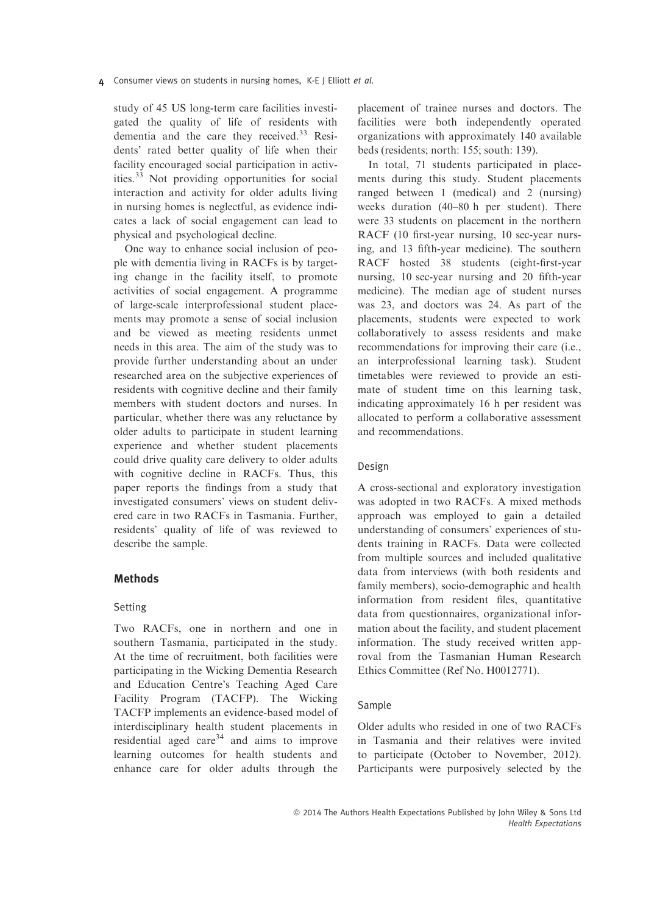study of 45 US long-term care facilities investigated the quality of life of residents with dementia and the care they received.<sup>33</sup> Residents' rated better quality of life when their facility encouraged social participation in activities.<sup>33</sup> Not providing opportunities for social interaction and activity for older adults living in nursing homes is neglectful, as evidence indicates a lack of social engagement can lead to physical and psychological decline.

One way to enhance social inclusion of people with dementia living in RACFs is by targeting change in the facility itself, to promote activities of social engagement. A programme of large-scale interprofessional student placements may promote a sense of social inclusion and be viewed as meeting residents unmet needs in this area. The aim of the study was to provide further understanding about an under researched area on the subjective experiences of residents with cognitive decline and their family members with student doctors and nurses. In particular, whether there was any reluctance by older adults to participate in student learning experience and whether student placements could drive quality care delivery to older adults with cognitive decline in RACFs. Thus, this paper reports the findings from a study that investigated consumers' views on student delivered care in two RACFs in Tasmania. Further, residents' quality of life of was reviewed to describe the sample.

# Methods

## Setting

Two RACFs, one in northern and one in southern Tasmania, participated in the study. At the time of recruitment, both facilities were participating in the Wicking Dementia Research and Education Centre's Teaching Aged Care Facility Program (TACFP). The Wicking TACFP implements an evidence-based model of interdisciplinary health student placements in residential aged care<sup>34</sup> and aims to improve learning outcomes for health students and enhance care for older adults through the placement of trainee nurses and doctors. The facilities were both independently operated organizations with approximately 140 available beds (residents; north: 155; south: 139).

In total, 71 students participated in placements during this study. Student placements ranged between 1 (medical) and 2 (nursing) weeks duration (40–80 h per student). There were 33 students on placement in the northern RACF (10 first-year nursing, 10 sec-year nursing, and 13 fifth-year medicine). The southern RACF hosted 38 students (eight-first-year nursing, 10 sec-year nursing and 20 fifth-year medicine). The median age of student nurses was 23, and doctors was 24. As part of the placements, students were expected to work collaboratively to assess residents and make recommendations for improving their care (i.e., an interprofessional learning task). Student timetables were reviewed to provide an estimate of student time on this learning task, indicating approximately 16 h per resident was allocated to perform a collaborative assessment and recommendations.

## Design

A cross-sectional and exploratory investigation was adopted in two RACFs. A mixed methods approach was employed to gain a detailed understanding of consumers' experiences of students training in RACFs. Data were collected from multiple sources and included qualitative data from interviews (with both residents and family members), socio-demographic and health information from resident files, quantitative data from questionnaires, organizational information about the facility, and student placement information. The study received written approval from the Tasmanian Human Research Ethics Committee (Ref No. H0012771).

#### Sample

Older adults who resided in one of two RACFs in Tasmania and their relatives were invited to participate (October to November, 2012). Participants were purposively selected by the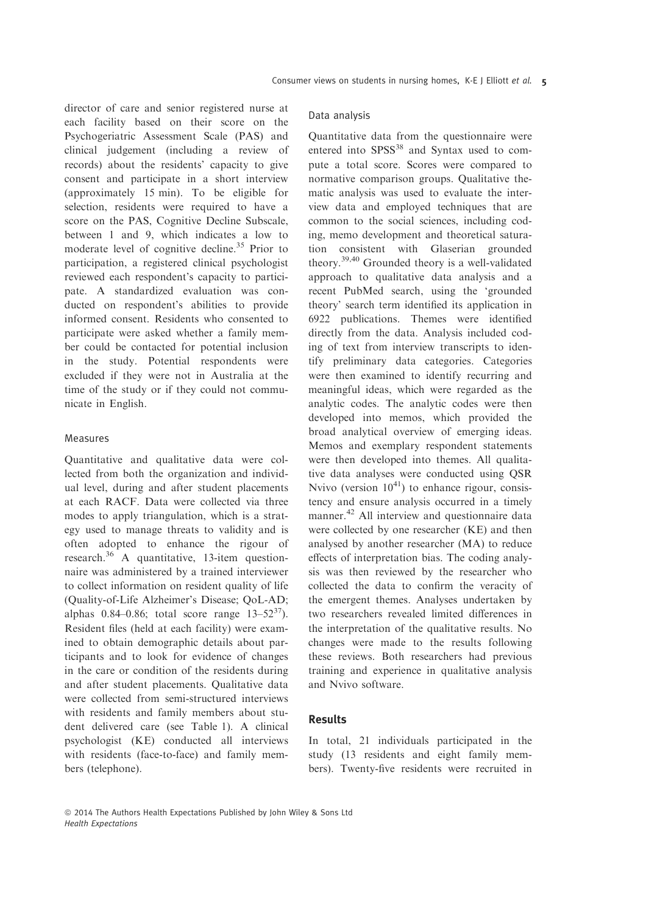director of care and senior registered nurse at each facility based on their score on the Psychogeriatric Assessment Scale (PAS) and clinical judgement (including a review of records) about the residents' capacity to give consent and participate in a short interview (approximately 15 min). To be eligible for selection, residents were required to have a score on the PAS, Cognitive Decline Subscale, between 1 and 9, which indicates a low to moderate level of cognitive decline.<sup>35</sup> Prior to participation, a registered clinical psychologist reviewed each respondent's capacity to participate. A standardized evaluation was conducted on respondent's abilities to provide informed consent. Residents who consented to participate were asked whether a family member could be contacted for potential inclusion in the study. Potential respondents were excluded if they were not in Australia at the time of the study or if they could not communicate in English.

## Measures

Quantitative and qualitative data were collected from both the organization and individual level, during and after student placements at each RACF. Data were collected via three modes to apply triangulation, which is a strategy used to manage threats to validity and is often adopted to enhance the rigour of research.<sup>36</sup> A quantitative, 13-item questionnaire was administered by a trained interviewer to collect information on resident quality of life (Quality-of-Life Alzheimer's Disease; QoL-AD; alphas  $0.84 - 0.86$ ; total score range  $13 - 52^{37}$ ). Resident files (held at each facility) were examined to obtain demographic details about participants and to look for evidence of changes in the care or condition of the residents during and after student placements. Qualitative data were collected from semi-structured interviews with residents and family members about student delivered care (see Table 1). A clinical psychologist (KE) conducted all interviews with residents (face-to-face) and family members (telephone).

## Data analysis

Quantitative data from the questionnaire were entered into SPSS<sup>38</sup> and Syntax used to compute a total score. Scores were compared to normative comparison groups. Qualitative thematic analysis was used to evaluate the interview data and employed techniques that are common to the social sciences, including coding, memo development and theoretical saturation consistent with Glaserian grounded theory.39,40 Grounded theory is a well-validated approach to qualitative data analysis and a recent PubMed search, using the 'grounded theory' search term identified its application in 6922 publications. Themes were identified directly from the data. Analysis included coding of text from interview transcripts to identify preliminary data categories. Categories were then examined to identify recurring and meaningful ideas, which were regarded as the analytic codes. The analytic codes were then developed into memos, which provided the broad analytical overview of emerging ideas. Memos and exemplary respondent statements were then developed into themes. All qualitative data analyses were conducted using QSR Nvivo (version  $10^{41}$ ) to enhance rigour, consistency and ensure analysis occurred in a timely manner.<sup>42</sup> All interview and questionnaire data were collected by one researcher (KE) and then analysed by another researcher (MA) to reduce effects of interpretation bias. The coding analysis was then reviewed by the researcher who collected the data to confirm the veracity of the emergent themes. Analyses undertaken by two researchers revealed limited differences in the interpretation of the qualitative results. No changes were made to the results following these reviews. Both researchers had previous training and experience in qualitative analysis and Nvivo software.

# Results

In total, 21 individuals participated in the study (13 residents and eight family members). Twenty-five residents were recruited in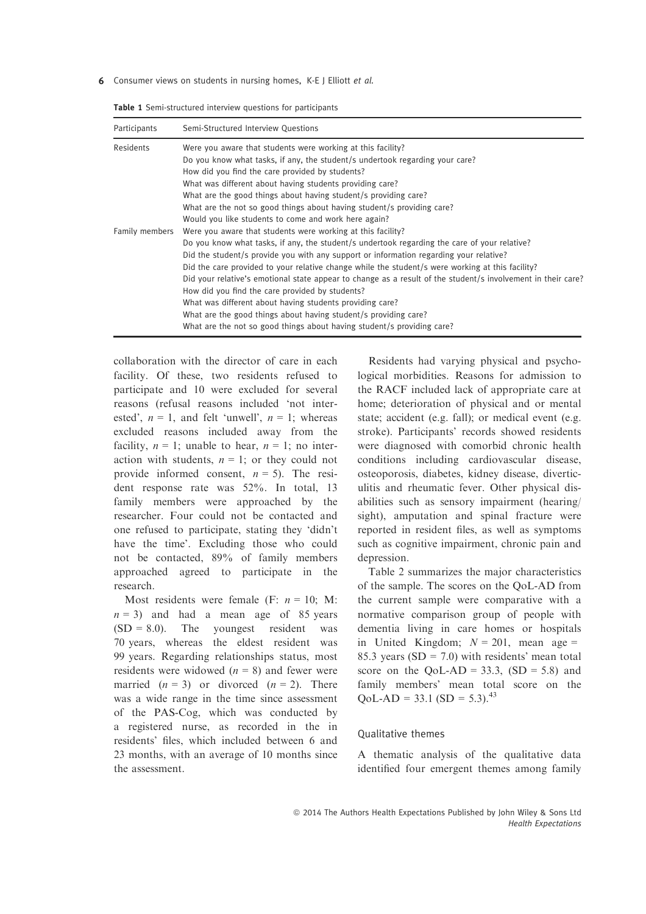| Participants   | Semi-Structured Interview Questions                                                                          |
|----------------|--------------------------------------------------------------------------------------------------------------|
| Residents      | Were you aware that students were working at this facility?                                                  |
|                | Do you know what tasks, if any, the student/s undertook regarding your care?                                 |
|                | How did you find the care provided by students?                                                              |
|                | What was different about having students providing care?                                                     |
|                | What are the good things about having student/s providing care?                                              |
|                | What are the not so good things about having student/s providing care?                                       |
|                | Would you like students to come and work here again?                                                         |
| Family members | Were you aware that students were working at this facility?                                                  |
|                | Do you know what tasks, if any, the student/s undertook regarding the care of your relative?                 |
|                | Did the student/s provide you with any support or information regarding your relative?                       |
|                | Did the care provided to your relative change while the student/s were working at this facility?             |
|                | Did your relative's emotional state appear to change as a result of the student/s involvement in their care? |
|                | How did you find the care provided by students?                                                              |
|                | What was different about having students providing care?                                                     |
|                | What are the good things about having student/s providing care?                                              |
|                | What are the not so good things about having student/s providing care?                                       |

Table 1 Semi-structured interview questions for participants

collaboration with the director of care in each facility. Of these, two residents refused to participate and 10 were excluded for several reasons (refusal reasons included 'not interested',  $n = 1$ , and felt 'unwell',  $n = 1$ ; whereas excluded reasons included away from the facility,  $n = 1$ ; unable to hear,  $n = 1$ ; no interaction with students,  $n = 1$ ; or they could not provide informed consent,  $n = 5$ ). The resident response rate was 52%. In total, 13 family members were approached by the researcher. Four could not be contacted and one refused to participate, stating they 'didn't have the time'. Excluding those who could not be contacted, 89% of family members approached agreed to participate in the research.

Most residents were female (F:  $n = 10$ ; M:  $n = 3$ ) and had a mean age of 85 years  $(SD = 8.0)$ . The youngest resident was 70 years, whereas the eldest resident was 99 years. Regarding relationships status, most residents were widowed  $(n = 8)$  and fewer were married  $(n = 3)$  or divorced  $(n = 2)$ . There was a wide range in the time since assessment of the PAS-Cog, which was conducted by a registered nurse, as recorded in the in residents' files, which included between 6 and 23 months, with an average of 10 months since the assessment.

Residents had varying physical and psychological morbidities. Reasons for admission to the RACF included lack of appropriate care at home; deterioration of physical and or mental state; accident (e.g. fall); or medical event (e.g. stroke). Participants' records showed residents were diagnosed with comorbid chronic health conditions including cardiovascular disease, osteoporosis, diabetes, kidney disease, diverticulitis and rheumatic fever. Other physical disabilities such as sensory impairment (hearing/ sight), amputation and spinal fracture were reported in resident files, as well as symptoms such as cognitive impairment, chronic pain and depression.

Table 2 summarizes the major characteristics of the sample. The scores on the QoL-AD from the current sample were comparative with a normative comparison group of people with dementia living in care homes or hospitals in United Kingdom;  $N = 201$ , mean age = 85.3 years  $(SD = 7.0)$  with residents' mean total score on the QoL-AD =  $33.3$ , (SD =  $5.8$ ) and family members' mean total score on the  $QoL-AD = 33.1 (SD = 5.3).^{43}$ 

#### Qualitative themes

A thematic analysis of the qualitative data identified four emergent themes among family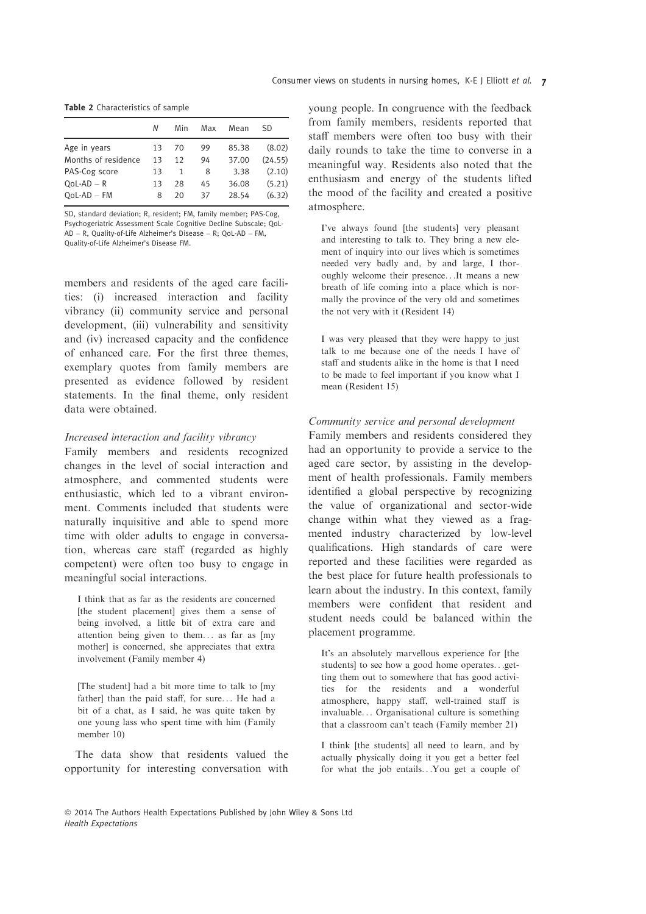| Table 2 Characteristics of sample |  |  |
|-----------------------------------|--|--|
|-----------------------------------|--|--|

| N  | Min | Max | Mean  | SD.     |
|----|-----|-----|-------|---------|
| 13 | 70  | 99  | 85.38 | (8.02)  |
| 13 | 12  | 94  | 37.00 | (24.55) |
| 13 | 1   | 8   | 3.38  | (2.10)  |
| 13 | 28  | 45  | 36.08 | (5.21)  |
| 8  | 20  | 37  | 28.54 | (6.32)  |
|    |     |     |       |         |

SD, standard deviation; R, resident; FM, family member; PAS-Cog, Psychogeriatric Assessment Scale Cognitive Decline Subscale; QoL-AD – R, Quality-of-Life Alzheimer's Disease – R; QoL-AD – FM, Quality-of-Life Alzheimer's Disease FM.

members and residents of the aged care facilities: (i) increased interaction and facility vibrancy (ii) community service and personal development, (iii) vulnerability and sensitivity and (iv) increased capacity and the confidence of enhanced care. For the first three themes, exemplary quotes from family members are presented as evidence followed by resident statements. In the final theme, only resident data were obtained.

# Increased interaction and facility vibrancy

Family members and residents recognized changes in the level of social interaction and atmosphere, and commented students were enthusiastic, which led to a vibrant environment. Comments included that students were naturally inquisitive and able to spend more time with older adults to engage in conversation, whereas care staff (regarded as highly competent) were often too busy to engage in meaningful social interactions.

I think that as far as the residents are concerned [the student placement] gives them a sense of being involved, a little bit of extra care and attention being given to them... as far as [my mother] is concerned, she appreciates that extra involvement (Family member 4)

[The student] had a bit more time to talk to [my father] than the paid staff, for sure... He had a bit of a chat, as I said, he was quite taken by one young lass who spent time with him (Family member 10)

The data show that residents valued the opportunity for interesting conversation with young people. In congruence with the feedback from family members, residents reported that staff members were often too busy with their daily rounds to take the time to converse in a meaningful way. Residents also noted that the enthusiasm and energy of the students lifted the mood of the facility and created a positive atmosphere.

I've always found [the students] very pleasant and interesting to talk to. They bring a new element of inquiry into our lives which is sometimes needed very badly and, by and large, I thoroughly welcome their presence. . .It means a new breath of life coming into a place which is normally the province of the very old and sometimes the not very with it (Resident 14)

I was very pleased that they were happy to just talk to me because one of the needs I have of staff and students alike in the home is that I need to be made to feel important if you know what I mean (Resident 15)

# Community service and personal development

Family members and residents considered they had an opportunity to provide a service to the aged care sector, by assisting in the development of health professionals. Family members identified a global perspective by recognizing the value of organizational and sector-wide change within what they viewed as a fragmented industry characterized by low-level qualifications. High standards of care were reported and these facilities were regarded as the best place for future health professionals to learn about the industry. In this context, family members were confident that resident and student needs could be balanced within the placement programme.

It's an absolutely marvellous experience for [the students] to see how a good home operates. . .getting them out to somewhere that has good activities for the residents and a wonderful atmosphere, happy staff, well-trained staff is invaluable... Organisational culture is something that a classroom can't teach (Family member 21)

I think [the students] all need to learn, and by actually physically doing it you get a better feel for what the job entails. . .You get a couple of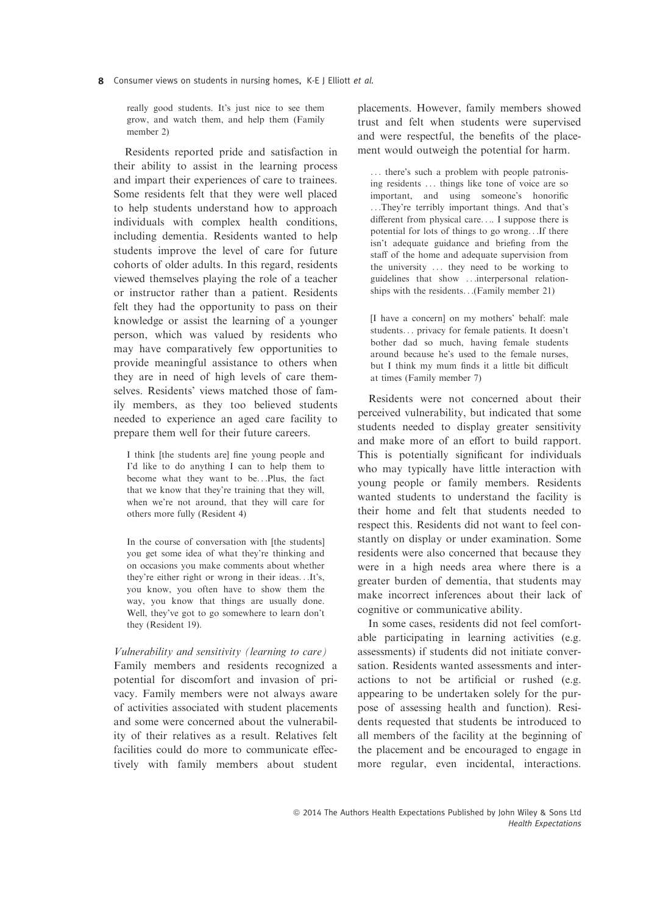really good students. It's just nice to see them grow, and watch them, and help them (Family member 2)

Residents reported pride and satisfaction in their ability to assist in the learning process and impart their experiences of care to trainees. Some residents felt that they were well placed to help students understand how to approach individuals with complex health conditions, including dementia. Residents wanted to help students improve the level of care for future cohorts of older adults. In this regard, residents viewed themselves playing the role of a teacher or instructor rather than a patient. Residents felt they had the opportunity to pass on their knowledge or assist the learning of a younger person, which was valued by residents who may have comparatively few opportunities to provide meaningful assistance to others when they are in need of high levels of care themselves. Residents' views matched those of family members, as they too believed students needed to experience an aged care facility to prepare them well for their future careers.

I think [the students are] fine young people and I'd like to do anything I can to help them to become what they want to be...Plus, the fact that we know that they're training that they will, when we're not around, that they will care for others more fully (Resident 4)

In the course of conversation with [the students] you get some idea of what they're thinking and on occasions you make comments about whether they're either right or wrong in their ideas. . .It's, you know, you often have to show them the way, you know that things are usually done. Well, they've got to go somewhere to learn don't they (Resident 19).

## Vulnerability and sensitivity (learning to care)

Family members and residents recognized a potential for discomfort and invasion of privacy. Family members were not always aware of activities associated with student placements and some were concerned about the vulnerability of their relatives as a result. Relatives felt facilities could do more to communicate effectively with family members about student placements. However, family members showed trust and felt when students were supervised and were respectful, the benefits of the placement would outweigh the potential for harm.

... there's such a problem with people patronising residents ... things like tone of voice are so important, and using someone's honorific . . .They're terribly important things. And that's different from physical care. . .. I suppose there is potential for lots of things to go wrong. . .If there isn't adequate guidance and briefing from the staff of the home and adequate supervision from the university ... they need to be working to guidelines that show . . .interpersonal relationships with the residents. . .(Family member 21)

[I have a concern] on my mothers' behalf: male students... privacy for female patients. It doesn't bother dad so much, having female students around because he's used to the female nurses, but I think my mum finds it a little bit difficult at times (Family member 7)

Residents were not concerned about their perceived vulnerability, but indicated that some students needed to display greater sensitivity and make more of an effort to build rapport. This is potentially significant for individuals who may typically have little interaction with young people or family members. Residents wanted students to understand the facility is their home and felt that students needed to respect this. Residents did not want to feel constantly on display or under examination. Some residents were also concerned that because they were in a high needs area where there is a greater burden of dementia, that students may make incorrect inferences about their lack of cognitive or communicative ability.

In some cases, residents did not feel comfortable participating in learning activities (e.g. assessments) if students did not initiate conversation. Residents wanted assessments and interactions to not be artificial or rushed (e.g. appearing to be undertaken solely for the purpose of assessing health and function). Residents requested that students be introduced to all members of the facility at the beginning of the placement and be encouraged to engage in more regular, even incidental, interactions.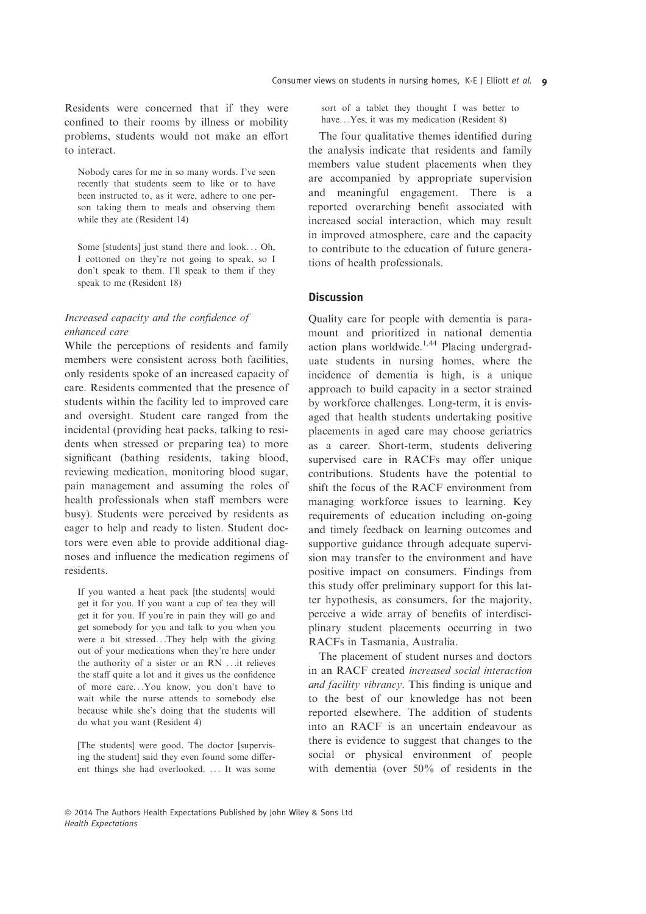Residents were concerned that if they were confined to their rooms by illness or mobility problems, students would not make an effort to interact.

Nobody cares for me in so many words. I've seen recently that students seem to like or to have been instructed to, as it were, adhere to one person taking them to meals and observing them while they ate (Resident 14)

Some [students] just stand there and look... Oh, I cottoned on they're not going to speak, so I don't speak to them. I'll speak to them if they speak to me (Resident 18)

# Increased capacity and the confidence of enhanced care

While the perceptions of residents and family members were consistent across both facilities, only residents spoke of an increased capacity of care. Residents commented that the presence of students within the facility led to improved care and oversight. Student care ranged from the incidental (providing heat packs, talking to residents when stressed or preparing tea) to more significant (bathing residents, taking blood, reviewing medication, monitoring blood sugar, pain management and assuming the roles of health professionals when staff members were busy). Students were perceived by residents as eager to help and ready to listen. Student doctors were even able to provide additional diagnoses and influence the medication regimens of residents.

If you wanted a heat pack [the students] would get it for you. If you want a cup of tea they will get it for you. If you're in pain they will go and get somebody for you and talk to you when you were a bit stressed. . .They help with the giving out of your medications when they're here under the authority of a sister or an RN . . .it relieves the staff quite a lot and it gives us the confidence of more care. . .You know, you don't have to wait while the nurse attends to somebody else because while she's doing that the students will do what you want (Resident 4)

[The students] were good. The doctor [supervising the student] said they even found some different things she had overlooked. ... It was some sort of a tablet they thought I was better to have...Yes, it was my medication (Resident 8)

The four qualitative themes identified during the analysis indicate that residents and family members value student placements when they are accompanied by appropriate supervision and meaningful engagement. There is a reported overarching benefit associated with increased social interaction, which may result in improved atmosphere, care and the capacity to contribute to the education of future generations of health professionals.

# Discussion

Quality care for people with dementia is paramount and prioritized in national dementia action plans worldwide.1,44 Placing undergraduate students in nursing homes, where the incidence of dementia is high, is a unique approach to build capacity in a sector strained by workforce challenges. Long-term, it is envisaged that health students undertaking positive placements in aged care may choose geriatrics as a career. Short-term, students delivering supervised care in RACFs may offer unique contributions. Students have the potential to shift the focus of the RACF environment from managing workforce issues to learning. Key requirements of education including on-going and timely feedback on learning outcomes and supportive guidance through adequate supervision may transfer to the environment and have positive impact on consumers. Findings from this study offer preliminary support for this latter hypothesis, as consumers, for the majority, perceive a wide array of benefits of interdisciplinary student placements occurring in two RACFs in Tasmania, Australia.

The placement of student nurses and doctors in an RACF created increased social interaction and facility vibrancy. This finding is unique and to the best of our knowledge has not been reported elsewhere. The addition of students into an RACF is an uncertain endeavour as there is evidence to suggest that changes to the social or physical environment of people with dementia (over 50% of residents in the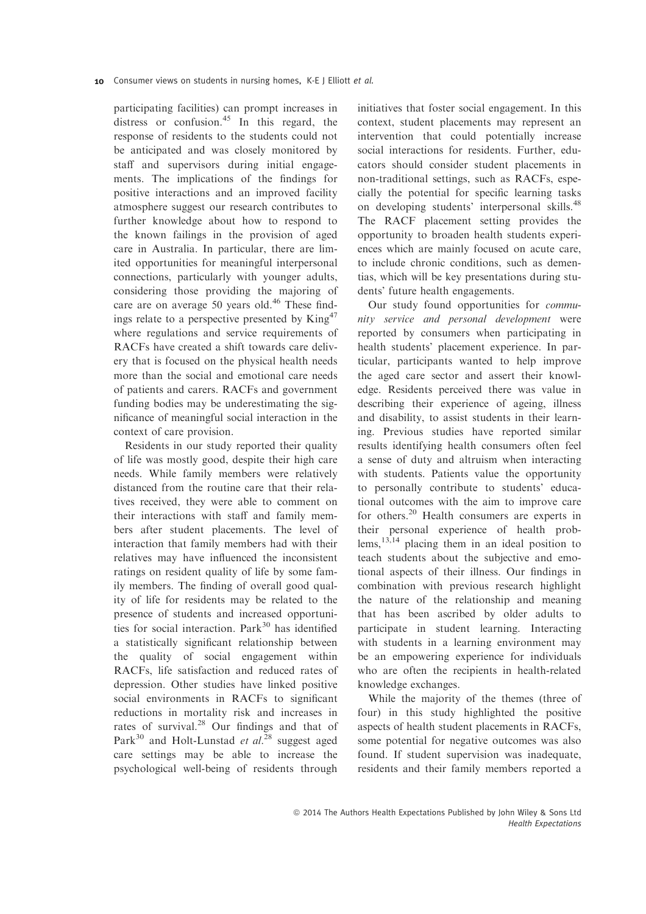participating facilities) can prompt increases in distress or confusion. $45$  In this regard, the response of residents to the students could not be anticipated and was closely monitored by staff and supervisors during initial engagements. The implications of the findings for positive interactions and an improved facility atmosphere suggest our research contributes to further knowledge about how to respond to the known failings in the provision of aged care in Australia. In particular, there are limited opportunities for meaningful interpersonal connections, particularly with younger adults, considering those providing the majoring of care are on average 50 years old.<sup>46</sup> These findings relate to a perspective presented by  $\text{King}^{47}$ where regulations and service requirements of RACFs have created a shift towards care delivery that is focused on the physical health needs more than the social and emotional care needs of patients and carers. RACFs and government funding bodies may be underestimating the significance of meaningful social interaction in the context of care provision.

Residents in our study reported their quality of life was mostly good, despite their high care needs. While family members were relatively distanced from the routine care that their relatives received, they were able to comment on their interactions with staff and family members after student placements. The level of interaction that family members had with their relatives may have influenced the inconsistent ratings on resident quality of life by some family members. The finding of overall good quality of life for residents may be related to the presence of students and increased opportunities for social interaction.  $Park<sup>30</sup>$  has identified a statistically significant relationship between the quality of social engagement within RACFs, life satisfaction and reduced rates of depression. Other studies have linked positive social environments in RACFs to significant reductions in mortality risk and increases in rates of survival.<sup>28</sup> Our findings and that of Park<sup>30</sup> and Holt-Lunstad *et al.*<sup>28</sup> suggest aged care settings may be able to increase the psychological well-being of residents through

initiatives that foster social engagement. In this context, student placements may represent an intervention that could potentially increase social interactions for residents. Further, educators should consider student placements in non-traditional settings, such as RACFs, especially the potential for specific learning tasks on developing students' interpersonal skills.<sup>48</sup> The RACF placement setting provides the opportunity to broaden health students experiences which are mainly focused on acute care, to include chronic conditions, such as dementias, which will be key presentations during students' future health engagements.

Our study found opportunities for community service and personal development were reported by consumers when participating in health students' placement experience. In particular, participants wanted to help improve the aged care sector and assert their knowledge. Residents perceived there was value in describing their experience of ageing, illness and disability, to assist students in their learning. Previous studies have reported similar results identifying health consumers often feel a sense of duty and altruism when interacting with students. Patients value the opportunity to personally contribute to students' educational outcomes with the aim to improve care for others.<sup>20</sup> Health consumers are experts in their personal experience of health prob $lems$ ,  $^{13,14}$  placing them in an ideal position to teach students about the subjective and emotional aspects of their illness. Our findings in combination with previous research highlight the nature of the relationship and meaning that has been ascribed by older adults to participate in student learning. Interacting with students in a learning environment may be an empowering experience for individuals who are often the recipients in health-related knowledge exchanges.

While the majority of the themes (three of four) in this study highlighted the positive aspects of health student placements in RACFs, some potential for negative outcomes was also found. If student supervision was inadequate, residents and their family members reported a

ª 2014 The Authors Health Expectations Published by John Wiley & Sons Ltd Health Expectations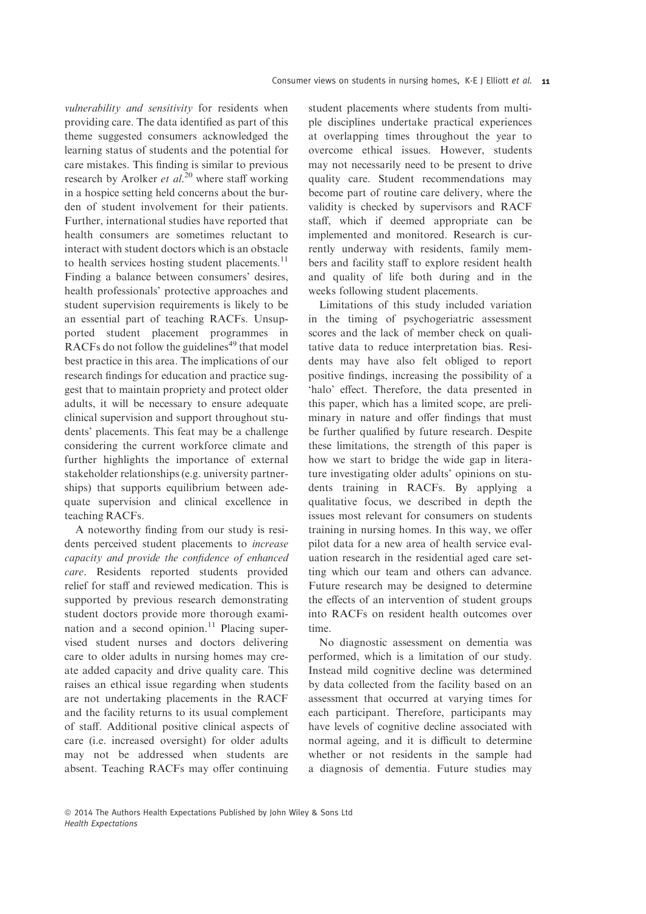vulnerability and sensitivity for residents when providing care. The data identified as part of this theme suggested consumers acknowledged the learning status of students and the potential for care mistakes. This finding is similar to previous research by Arolker *et al.*<sup>20</sup> where staff working in a hospice setting held concerns about the burden of student involvement for their patients. Further, international studies have reported that health consumers are sometimes reluctant to interact with student doctors which is an obstacle to health services hosting student placements.<sup>11</sup> Finding a balance between consumers' desires, health professionals' protective approaches and student supervision requirements is likely to be an essential part of teaching RACFs. Unsupported student placement programmes in RACFs do not follow the guidelines<sup>49</sup> that model best practice in this area. The implications of our research findings for education and practice suggest that to maintain propriety and protect older adults, it will be necessary to ensure adequate clinical supervision and support throughout students' placements. This feat may be a challenge considering the current workforce climate and further highlights the importance of external stakeholder relationships (e.g. university partnerships) that supports equilibrium between adequate supervision and clinical excellence in teaching RACFs.

A noteworthy finding from our study is residents perceived student placements to increase capacity and provide the confidence of enhanced care. Residents reported students provided relief for staff and reviewed medication. This is supported by previous research demonstrating student doctors provide more thorough examination and a second opinion.<sup>11</sup> Placing supervised student nurses and doctors delivering care to older adults in nursing homes may create added capacity and drive quality care. This raises an ethical issue regarding when students are not undertaking placements in the RACF and the facility returns to its usual complement of staff. Additional positive clinical aspects of care (i.e. increased oversight) for older adults may not be addressed when students are absent. Teaching RACFs may offer continuing student placements where students from multiple disciplines undertake practical experiences at overlapping times throughout the year to overcome ethical issues. However, students may not necessarily need to be present to drive quality care. Student recommendations may become part of routine care delivery, where the validity is checked by supervisors and RACF staff, which if deemed appropriate can be implemented and monitored. Research is currently underway with residents, family members and facility staff to explore resident health and quality of life both during and in the weeks following student placements.

Limitations of this study included variation in the timing of psychogeriatric assessment scores and the lack of member check on qualitative data to reduce interpretation bias. Residents may have also felt obliged to report positive findings, increasing the possibility of a 'halo' effect. Therefore, the data presented in this paper, which has a limited scope, are preliminary in nature and offer findings that must be further qualified by future research. Despite these limitations, the strength of this paper is how we start to bridge the wide gap in literature investigating older adults' opinions on students training in RACFs. By applying a qualitative focus, we described in depth the issues most relevant for consumers on students training in nursing homes. In this way, we offer pilot data for a new area of health service evaluation research in the residential aged care setting which our team and others can advance. Future research may be designed to determine the effects of an intervention of student groups into RACFs on resident health outcomes over time.

No diagnostic assessment on dementia was performed, which is a limitation of our study. Instead mild cognitive decline was determined by data collected from the facility based on an assessment that occurred at varying times for each participant. Therefore, participants may have levels of cognitive decline associated with normal ageing, and it is difficult to determine whether or not residents in the sample had a diagnosis of dementia. Future studies may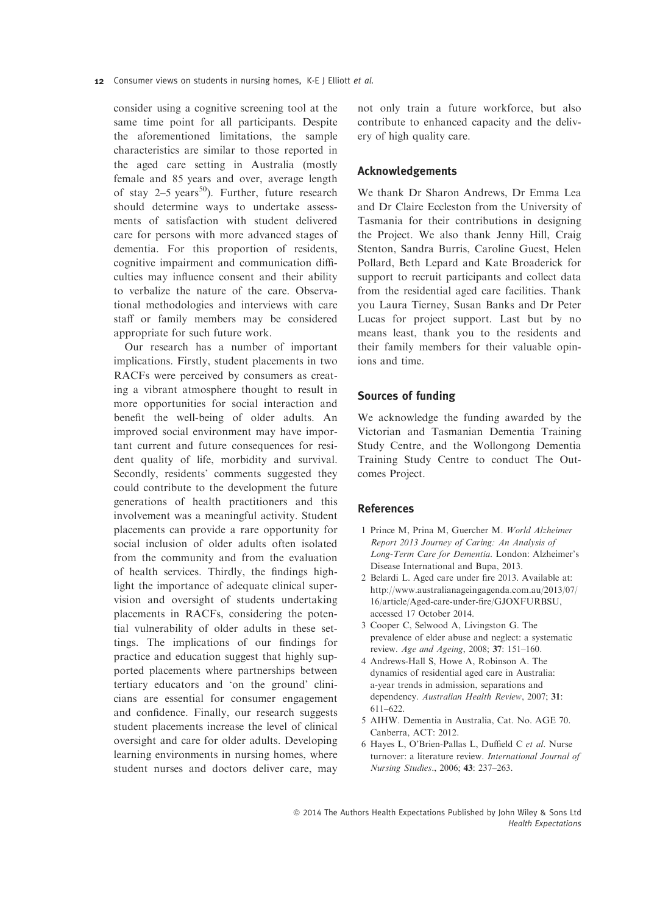consider using a cognitive screening tool at the same time point for all participants. Despite the aforementioned limitations, the sample characteristics are similar to those reported in the aged care setting in Australia (mostly female and 85 years and over, average length of stay  $2-5$  years<sup>50</sup>). Further, future research should determine ways to undertake assessments of satisfaction with student delivered care for persons with more advanced stages of dementia. For this proportion of residents, cognitive impairment and communication difficulties may influence consent and their ability to verbalize the nature of the care. Observational methodologies and interviews with care staff or family members may be considered appropriate for such future work.

Our research has a number of important implications. Firstly, student placements in two RACFs were perceived by consumers as creating a vibrant atmosphere thought to result in more opportunities for social interaction and benefit the well-being of older adults. An improved social environment may have important current and future consequences for resident quality of life, morbidity and survival. Secondly, residents' comments suggested they could contribute to the development the future generations of health practitioners and this involvement was a meaningful activity. Student placements can provide a rare opportunity for social inclusion of older adults often isolated from the community and from the evaluation of health services. Thirdly, the findings highlight the importance of adequate clinical supervision and oversight of students undertaking placements in RACFs, considering the potential vulnerability of older adults in these settings. The implications of our findings for practice and education suggest that highly supported placements where partnerships between tertiary educators and 'on the ground' clinicians are essential for consumer engagement and confidence. Finally, our research suggests student placements increase the level of clinical oversight and care for older adults. Developing learning environments in nursing homes, where student nurses and doctors deliver care, may

not only train a future workforce, but also contribute to enhanced capacity and the delivery of high quality care.

# Acknowledgements

We thank Dr Sharon Andrews, Dr Emma Lea and Dr Claire Eccleston from the University of Tasmania for their contributions in designing the Project. We also thank Jenny Hill, Craig Stenton, Sandra Burris, Caroline Guest, Helen Pollard, Beth Lepard and Kate Broaderick for support to recruit participants and collect data from the residential aged care facilities. Thank you Laura Tierney, Susan Banks and Dr Peter Lucas for project support. Last but by no means least, thank you to the residents and their family members for their valuable opinions and time.

## Sources of funding

We acknowledge the funding awarded by the Victorian and Tasmanian Dementia Training Study Centre, and the Wollongong Dementia Training Study Centre to conduct The Outcomes Project.

## References

- 1 Prince M, Prina M, Guercher M. World Alzheimer Report 2013 Journey of Caring: An Analysis of Long-Term Care for Dementia. London: Alzheimer's Disease International and Bupa, 2013.
- 2 Belardi L. Aged care under fire 2013. Available at: http://www.australianageingagenda.com.au/2013/07/ 16/article/Aged-care-under-fire/GJOXFURBSU, accessed 17 October 2014.
- 3 Cooper C, Selwood A, Livingston G. The prevalence of elder abuse and neglect: a systematic review. Age and Ageing, 2008; 37: 151–160.
- 4 Andrews-Hall S, Howe A, Robinson A. The dynamics of residential aged care in Australia: a-year trends in admission, separations and dependency. Australian Health Review, 2007; 31: 611–622.
- 5 AIHW. Dementia in Australia, Cat. No. AGE 70. Canberra, ACT: 2012.
- 6 Hayes L, O'Brien-Pallas L, Duffield C et al. Nurse turnover: a literature review. International Journal of Nursing Studies., 2006; 43: 237–263.

ª 2014 The Authors Health Expectations Published by John Wiley & Sons Ltd Health Expectations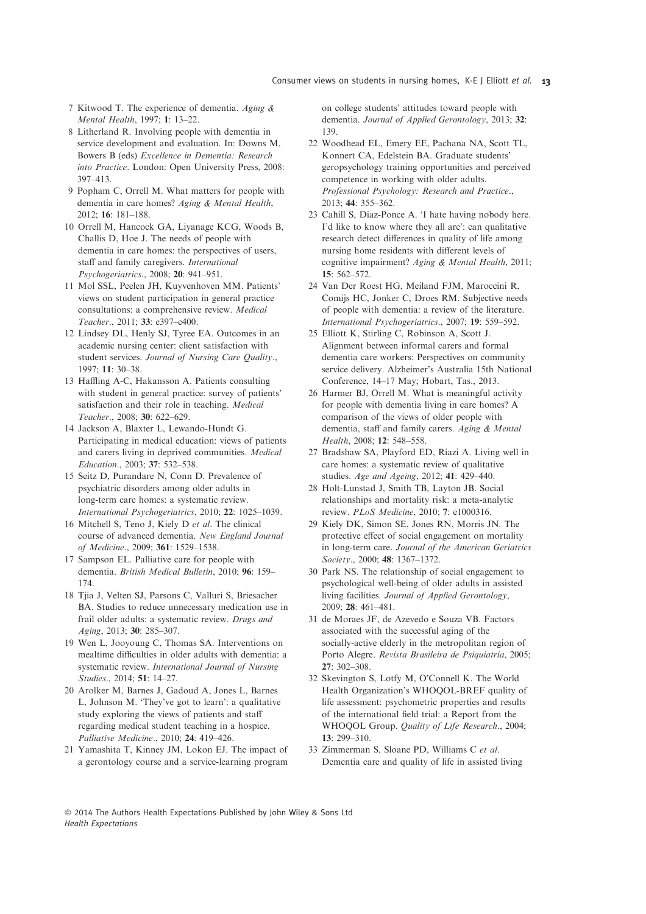- 7 Kitwood T. The experience of dementia. Aging & Mental Health, 1997; 1: 13–22.
- 8 Litherland R. Involving people with dementia in service development and evaluation. In: Downs M, Bowers B (eds) Excellence in Dementia: Research into Practice. London: Open University Press, 2008: 397–413.
- 9 Popham C, Orrell M. What matters for people with dementia in care homes? Aging & Mental Health, 2012; 16: 181–188.
- 10 Orrell M, Hancock GA, Liyanage KCG, Woods B, Challis D, Hoe J. The needs of people with dementia in care homes: the perspectives of users, staff and family caregivers. International Psychogeriatrics., 2008; 20: 941–951.
- 11 Mol SSL, Peelen JH, Kuyvenhoven MM. Patients' views on student participation in general practice consultations: a comprehensive review. Medical Teacher., 2011; 33: e397–e400.
- 12 Lindsey DL, Henly SJ, Tyree EA. Outcomes in an academic nursing center: client satisfaction with student services. Journal of Nursing Care Quality., 1997; 11: 30–38.
- 13 Haffling A-C, Hakansson A. Patients consulting with student in general practice: survey of patients' satisfaction and their role in teaching. Medical Teacher., 2008; 30: 622–629.
- 14 Jackson A, Blaxter L, Lewando-Hundt G. Participating in medical education: views of patients and carers living in deprived communities. Medical Education., 2003; 37: 532–538.
- 15 Seitz D, Purandare N, Conn D. Prevalence of psychiatric disorders among older adults in long-term care homes: a systematic review. International Psychogeriatrics, 2010; 22: 1025–1039.
- 16 Mitchell S, Teno J, Kiely D et al. The clinical course of advanced dementia. New England Journal of Medicine., 2009; 361: 1529–1538.
- 17 Sampson EL. Palliative care for people with dementia. British Medical Bulletin, 2010; 96: 159– 174.
- 18 Tjia J, Velten SJ, Parsons C, Valluri S, Briesacher BA. Studies to reduce unnecessary medication use in frail older adults: a systematic review. Drugs and Aging, 2013; 30: 285–307.
- 19 Wen L, Jooyoung C, Thomas SA. Interventions on mealtime difficulties in older adults with dementia: a systematic review. International Journal of Nursing Studies., 2014; 51: 14–27.
- 20 Arolker M, Barnes J, Gadoud A, Jones L, Barnes L, Johnson M. 'They've got to learn': a qualitative study exploring the views of patients and staff regarding medical student teaching in a hospice. Palliative Medicine., 2010; 24: 419–426.
- 21 Yamashita T, Kinney JM, Lokon EJ. The impact of a gerontology course and a service-learning program

on college students' attitudes toward people with dementia. Journal of Applied Gerontology, 2013; 32: 139.

- 22 Woodhead EL, Emery EE, Pachana NA, Scott TL, Konnert CA, Edelstein BA. Graduate students' geropsychology training opportunities and perceived competence in working with older adults. Professional Psychology: Research and Practice., 2013; 44: 355–362.
- 23 Cahill S, Diaz-Ponce A. 'I hate having nobody here. I'd like to know where they all are': can qualitative research detect differences in quality of life among nursing home residents with different levels of cognitive impairment? Aging & Mental Health, 2011; 15: 562–572.
- 24 Van Der Roest HG, Meiland FJM, Maroccini R, Comijs HC, Jonker C, Droes RM. Subjective needs of people with dementia: a review of the literature. International Psychogeriatrics., 2007; 19: 559–592.
- 25 Elliott K, Stirling C, Robinson A, Scott J. Alignment between informal carers and formal dementia care workers: Perspectives on community service delivery. Alzheimer's Australia 15th National Conference, 14–17 May; Hobart, Tas., 2013.
- 26 Harmer BJ, Orrell M. What is meaningful activity for people with dementia living in care homes? A comparison of the views of older people with dementia, staff and family carers. Aging & Mental Health, 2008; 12: 548–558.
- 27 Bradshaw SA, Playford ED, Riazi A. Living well in care homes: a systematic review of qualitative studies. Age and Ageing, 2012; 41: 429–440.
- 28 Holt-Lunstad J, Smith TB, Layton JB. Social relationships and mortality risk: a meta-analytic review. PLoS Medicine, 2010; 7: e1000316.
- 29 Kiely DK, Simon SE, Jones RN, Morris JN. The protective effect of social engagement on mortality in long-term care. Journal of the American Geriatrics Society., 2000; 48: 1367–1372.
- 30 Park NS. The relationship of social engagement to psychological well-being of older adults in assisted living facilities. Journal of Applied Gerontology, 2009; 28: 461–481.
- 31 de Moraes JF, de Azevedo e Souza VB. Factors associated with the successful aging of the socially-active elderly in the metropolitan region of Porto Alegre. Revista Brasileira de Psiquiatria, 2005; 27: 302–308.
- 32 Skevington S, Lotfy M, O'Connell K. The World Health Organization's WHOQOL-BREF quality of life assessment: psychometric properties and results of the international field trial: a Report from the WHOQOL Group. Quality of Life Research., 2004; 13: 299–310.
- 33 Zimmerman S, Sloane PD, Williams C et al. Dementia care and quality of life in assisted living

ª 2014 The Authors Health Expectations Published by John Wiley & Sons Ltd Health Expectations